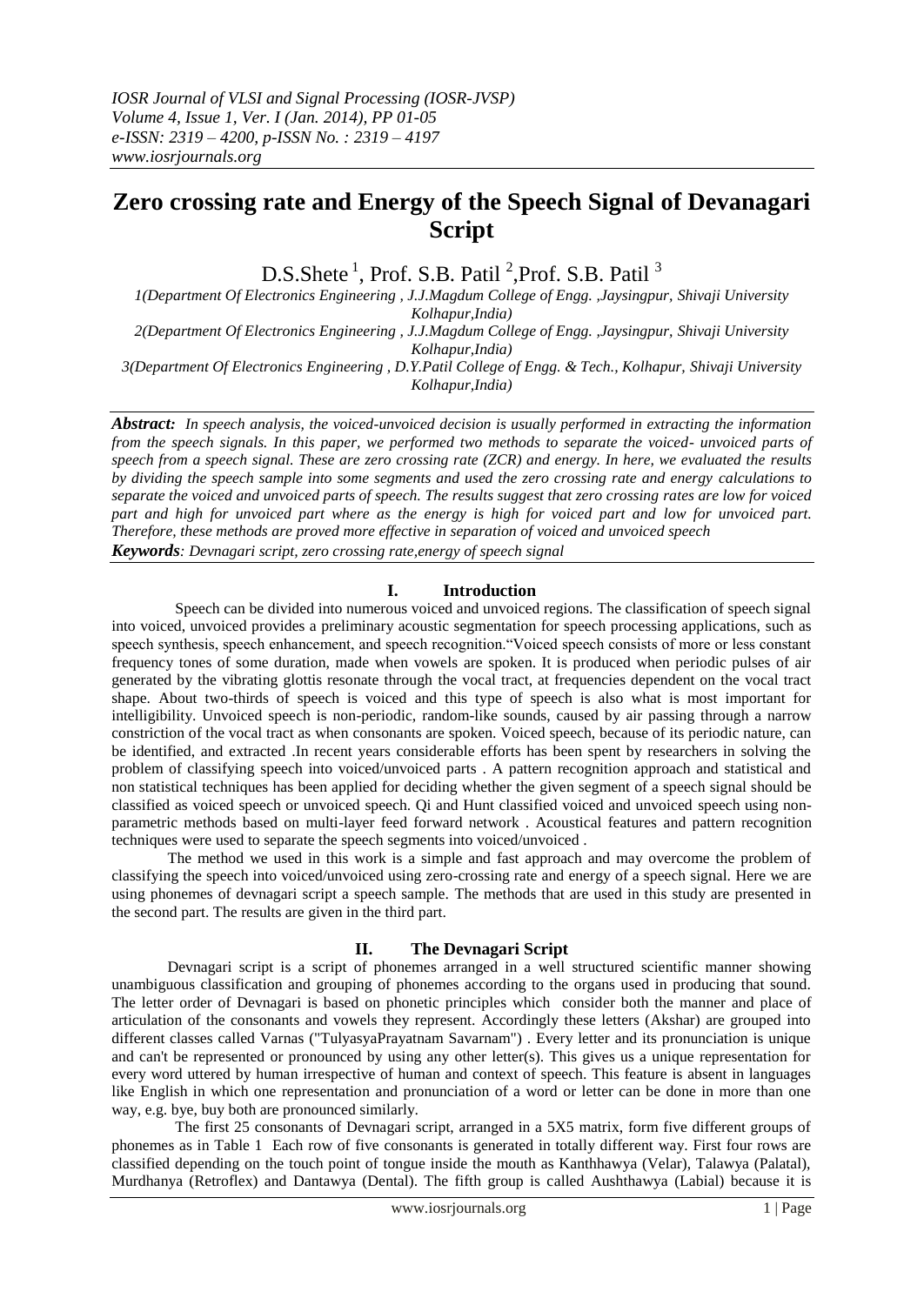# **Zero crossing rate and Energy of the Speech Signal of Devanagari Script**

D.S.Shete<sup>1</sup>, Prof. S.B. Patil<sup>2</sup>, Prof. S.B. Patil<sup>3</sup>

*1(Department Of Electronics Engineering , J.J.Magdum College of Engg. ,Jaysingpur, Shivaji University Kolhapur,India) 2(Department Of Electronics Engineering , J.J.Magdum College of Engg. ,Jaysingpur, Shivaji University* 

*Kolhapur,India)*

*3(Department Of Electronics Engineering , D.Y.Patil College of Engg. & Tech., Kolhapur, Shivaji University Kolhapur,India)*

*Abstract: In speech analysis, the voiced-unvoiced decision is usually performed in extracting the information from the speech signals. In this paper, we performed two methods to separate the voiced- unvoiced parts of speech from a speech signal. These are zero crossing rate (ZCR) and energy. In here, we evaluated the results by dividing the speech sample into some segments and used the zero crossing rate and energy calculations to separate the voiced and unvoiced parts of speech. The results suggest that zero crossing rates are low for voiced part and high for unvoiced part where as the energy is high for voiced part and low for unvoiced part. Therefore, these methods are proved more effective in separation of voiced and unvoiced speech Keywords: Devnagari script, zero crossing rate,energy of speech signal*

**I. Introduction**

 Speech can be divided into numerous voiced and unvoiced regions. The classification of speech signal into voiced, unvoiced provides a preliminary acoustic segmentation for speech processing applications, such as speech synthesis, speech enhancement, and speech recognition."Voiced speech consists of more or less constant frequency tones of some duration, made when vowels are spoken. It is produced when periodic pulses of air generated by the vibrating glottis resonate through the vocal tract, at frequencies dependent on the vocal tract shape. About two-thirds of speech is voiced and this type of speech is also what is most important for intelligibility. Unvoiced speech is non-periodic, random-like sounds, caused by air passing through a narrow constriction of the vocal tract as when consonants are spoken. Voiced speech, because of its periodic nature, can be identified, and extracted .In recent years considerable efforts has been spent by researchers in solving the problem of classifying speech into voiced/unvoiced parts . A pattern recognition approach and statistical and non statistical techniques has been applied for deciding whether the given segment of a speech signal should be classified as voiced speech or unvoiced speech. Qi and Hunt classified voiced and unvoiced speech using nonparametric methods based on multi-layer feed forward network . Acoustical features and pattern recognition techniques were used to separate the speech segments into voiced/unvoiced .

 The method we used in this work is a simple and fast approach and may overcome the problem of classifying the speech into voiced/unvoiced using zero-crossing rate and energy of a speech signal. Here we are using phonemes of devnagari script a speech sample. The methods that are used in this study are presented in the second part. The results are given in the third part.

## **II. The Devnagari Script**

 Devnagari script is a script of phonemes arranged in a well structured scientific manner showing unambiguous classification and grouping of phonemes according to the organs used in producing that sound. The letter order of Devnagari is based on phonetic principles which consider both the manner and place of articulation of the consonants and vowels they represent. Accordingly these letters (Akshar) are grouped into different classes called Varnas ("TulyasyaPrayatnam Savarnam") . Every letter and its pronunciation is unique and can't be represented or pronounced by using any other letter(s). This gives us a unique representation for every word uttered by human irrespective of human and context of speech. This feature is absent in languages like English in which one representation and pronunciation of a word or letter can be done in more than one way, e.g. bye, buy both are pronounced similarly.

 The first 25 consonants of Devnagari script, arranged in a 5X5 matrix, form five different groups of phonemes as in Table 1 Each row of five consonants is generated in totally different way. First four rows are classified depending on the touch point of tongue inside the mouth as Kanthhawya (Velar), Talawya (Palatal), Murdhanya (Retroflex) and Dantawya (Dental). The fifth group is called Aushthawya (Labial) because it is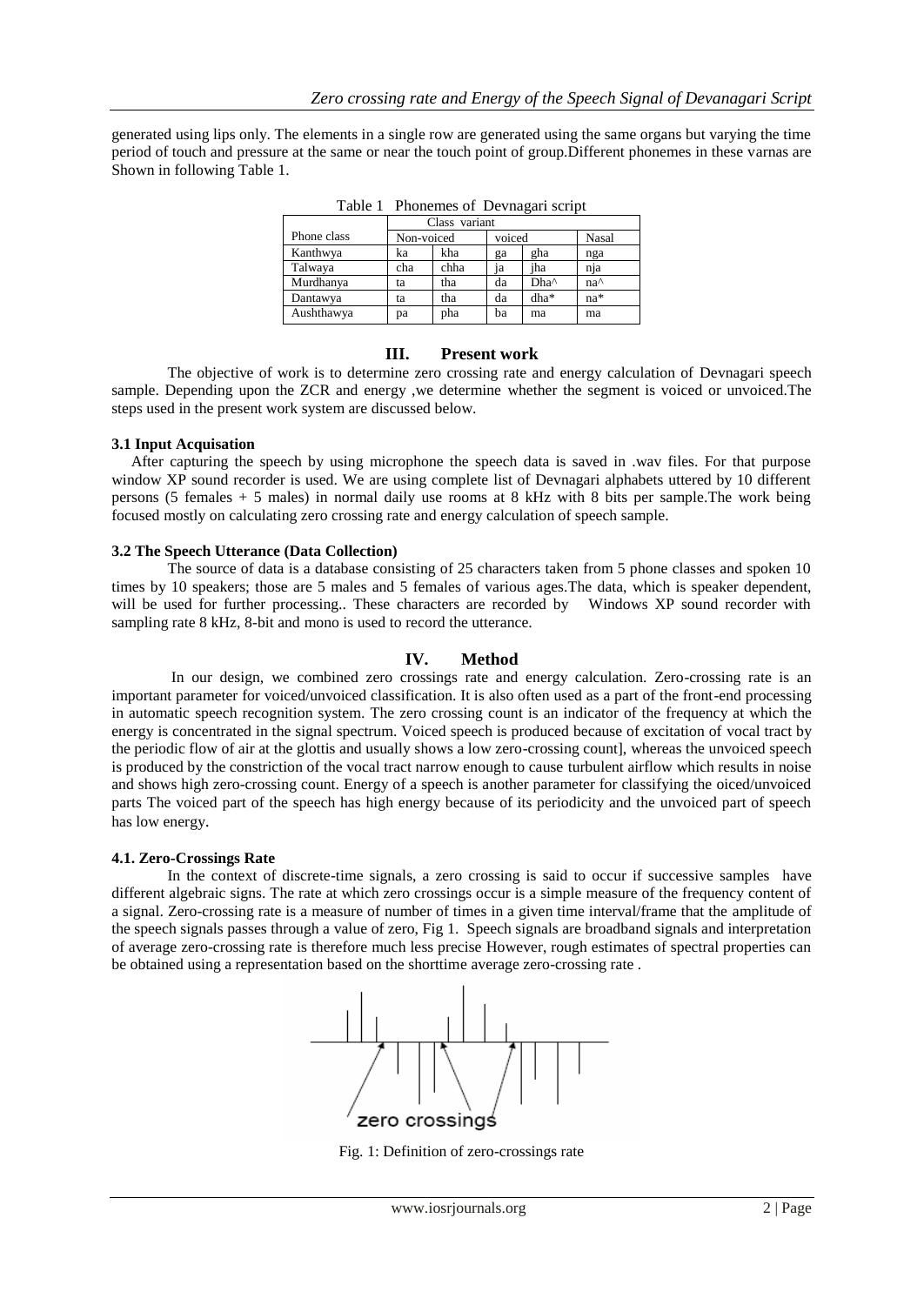generated using lips only. The elements in a single row are generated using the same organs but varying the time period of touch and pressure at the same or near the touch point of group.Different phonemes in these varnas are Shown in following Table 1.

|             | Class variant |      |        |      |                 |  |
|-------------|---------------|------|--------|------|-----------------|--|
| Phone class | Non-voiced    |      | voiced |      | Nasal           |  |
| Kanthwya    | ka            | kha  | ga     | gha  | nga             |  |
| Talwaya     | cha           | chha | ia     | iha  | nja             |  |
| Murdhanya   | ta            | tha  | da     | Dha^ | na <sup>^</sup> |  |
| Dantawya    | ta            | tha  | da     | dha* | na*             |  |
| Aushthawya  | pa            | pha  | ba     | ma   | ma              |  |

Table 1 Phonemes of Devnagari script

## **III. Present work**

 The objective of work is to determine zero crossing rate and energy calculation of Devnagari speech sample. Depending upon the ZCR and energy ,we determine whether the segment is voiced or unvoiced.The steps used in the present work system are discussed below.

## **3.1 Input Acquisation**

 After capturing the speech by using microphone the speech data is saved in .wav files. For that purpose window XP sound recorder is used. We are using complete list of Devnagari alphabets uttered by 10 different persons (5 females + 5 males) in normal daily use rooms at 8 kHz with 8 bits per sample.The work being focused mostly on calculating zero crossing rate and energy calculation of speech sample.

## **3.2 The Speech Utterance (Data Collection)**

 The source of data is a database consisting of 25 characters taken from 5 phone classes and spoken 10 times by 10 speakers; those are 5 males and 5 females of various ages.The data, which is speaker dependent, will be used for further processing.. These characters are recorded by Windows XP sound recorder with sampling rate 8 kHz, 8-bit and mono is used to record the utterance.

## **IV. Method**

 In our design, we combined zero crossings rate and energy calculation. Zero-crossing rate is an important parameter for voiced/unvoiced classification. It is also often used as a part of the front-end processing in automatic speech recognition system. The zero crossing count is an indicator of the frequency at which the energy is concentrated in the signal spectrum. Voiced speech is produced because of excitation of vocal tract by the periodic flow of air at the glottis and usually shows a low zero-crossing count], whereas the unvoiced speech is produced by the constriction of the vocal tract narrow enough to cause turbulent airflow which results in noise and shows high zero-crossing count. Energy of a speech is another parameter for classifying the oiced/unvoiced parts The voiced part of the speech has high energy because of its periodicity and the unvoiced part of speech has low energy.

## **4.1. Zero-Crossings Rate**

 In the context of discrete-time signals, a zero crossing is said to occur if successive samples have different algebraic signs. The rate at which zero crossings occur is a simple measure of the frequency content of a signal. Zero-crossing rate is a measure of number of times in a given time interval/frame that the amplitude of the speech signals passes through a value of zero, Fig 1. Speech signals are broadband signals and interpretation of average zero-crossing rate is therefore much less precise However, rough estimates of spectral properties can be obtained using a representation based on the shorttime average zero-crossing rate .



Fig. 1: Definition of zero-crossings rate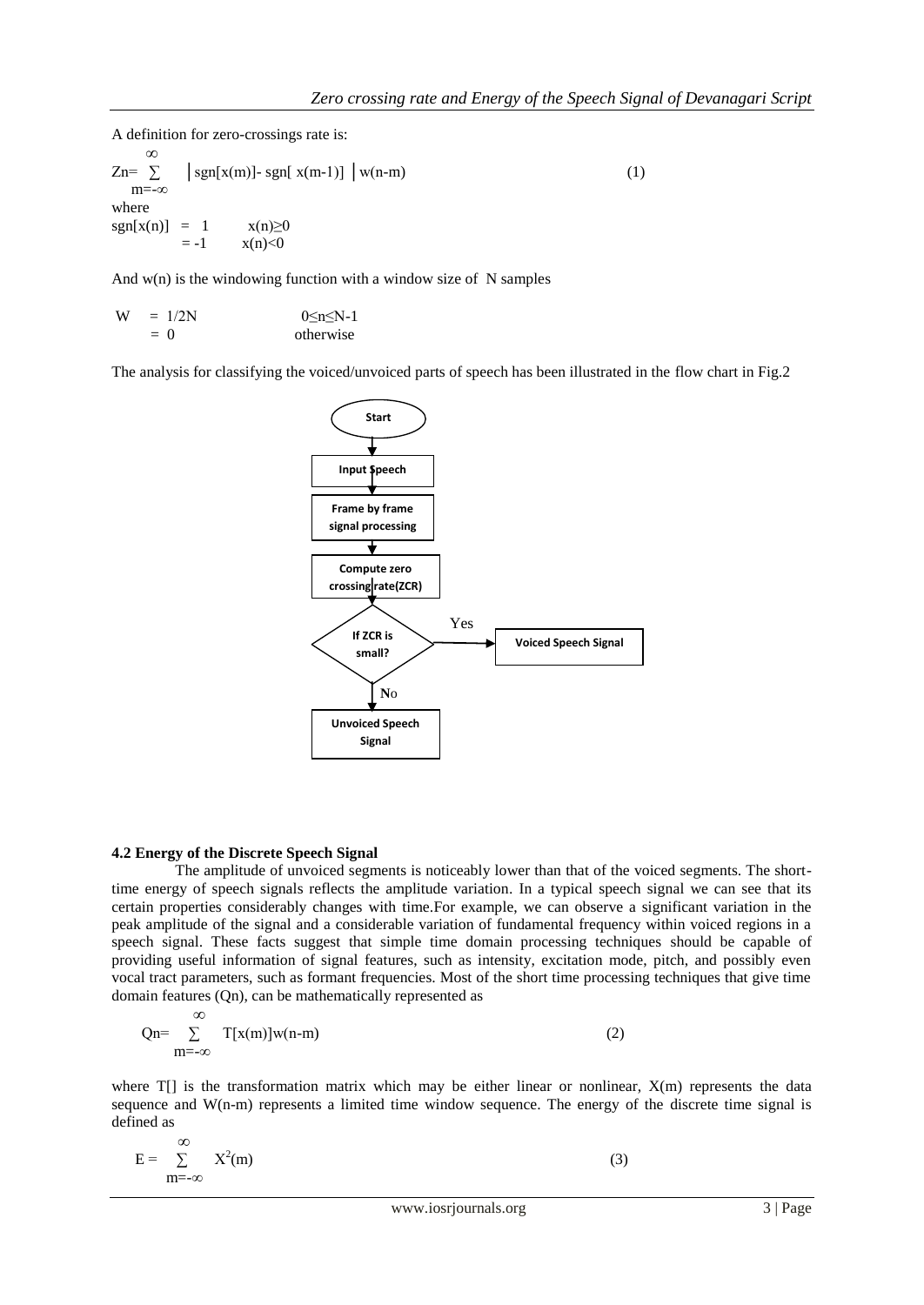A definition for zero-crossings rate is:

 $Zn = \sum_{n=1}^{\infty}$  $\left[ \text{sgn}[x(m)] - \text{sgn}[x(m-1)] \right] \left[ w(n-m) \right]$  (1) m=-∞ where  $sgn[x(n)] = 1$   $x(n) \ge 0$  $=-1$   $x(n) < 0$ 

And  $w(n)$  is the windowing function with a window size of N samples

 $W = 1/2N$  0≤n≤N-1  $= 0$  otherwise

The analysis for classifying the voiced/unvoiced parts of speech has been illustrated in the flow chart in Fig.2



## **4.2 Energy of the Discrete Speech Signal**

 The amplitude of unvoiced segments is noticeably lower than that of the voiced segments. The shorttime energy of speech signals reflects the amplitude variation. In a typical speech signal we can see that its certain properties considerably changes with time.For example, we can observe a significant variation in the peak amplitude of the signal and a considerable variation of fundamental frequency within voiced regions in a speech signal. These facts suggest that simple time domain processing techniques should be capable of providing useful information of signal features, such as intensity, excitation mode, pitch, and possibly even vocal tract parameters, such as formant frequencies. Most of the short time processing techniques that give time domain features (Qn), can be mathematically represented as

$$
Qn = \sum_{m = -\infty}^{\infty} T[x(m)]w(n-m)
$$
 (2)

where  $T[\cdot]$  is the transformation matrix which may be either linear or nonlinear,  $X(m)$  represents the data sequence and W(n-m) represents a limited time window sequence. The energy of the discrete time signal is defined as

$$
E = \sum_{m = -\infty}^{\infty} X^2(m)
$$
 (3)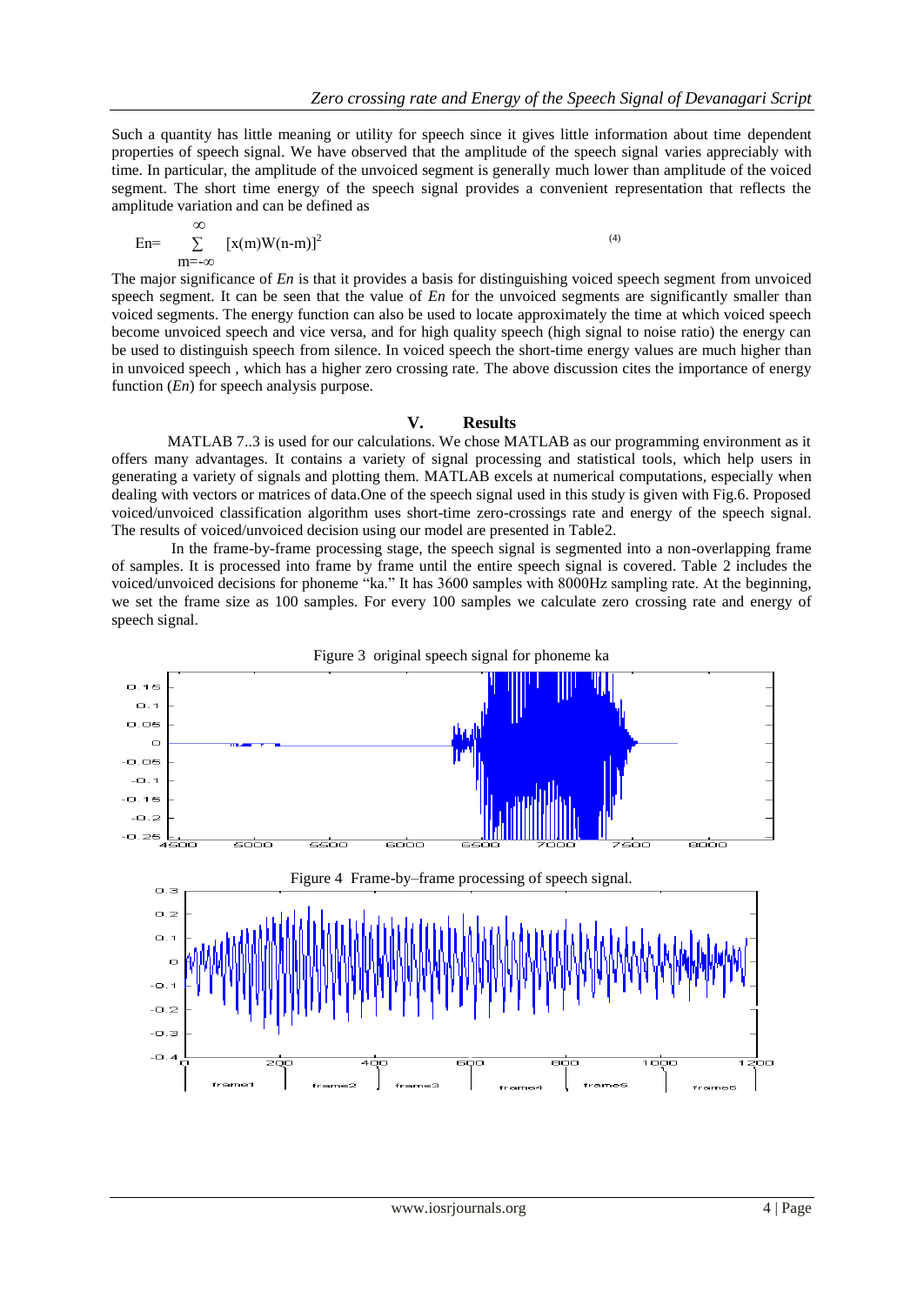Such a quantity has little meaning or utility for speech since it gives little information about time dependent properties of speech signal. We have observed that the amplitude of the speech signal varies appreciably with time. In particular, the amplitude of the unvoiced segment is generally much lower than amplitude of the voiced segment. The short time energy of the speech signal provides a convenient representation that reflects the amplitude variation and can be defined as

$$
En = \sum_{m = -\infty}^{\infty} [x(m)W(n-m)]^2
$$
 (4)

The major significance of *En* is that it provides a basis for distinguishing voiced speech segment from unvoiced speech segment. It can be seen that the value of *En* for the unvoiced segments are significantly smaller than voiced segments. The energy function can also be used to locate approximately the time at which voiced speech become unvoiced speech and vice versa, and for high quality speech (high signal to noise ratio) the energy can be used to distinguish speech from silence. In voiced speech the short-time energy values are much higher than in unvoiced speech , which has a higher zero crossing rate. The above discussion cites the importance of energy function (*En*) for speech analysis purpose.

## **V. Results**

 MATLAB 7..3 is used for our calculations. We chose MATLAB as our programming environment as it offers many advantages. It contains a variety of signal processing and statistical tools, which help users in generating a variety of signals and plotting them. MATLAB excels at numerical computations, especially when dealing with vectors or matrices of data.One of the speech signal used in this study is given with Fig.6. Proposed voiced/unvoiced classification algorithm uses short-time zero-crossings rate and energy of the speech signal. The results of voiced/unvoiced decision using our model are presented in Table2.

 In the frame-by-frame processing stage, the speech signal is segmented into a non-overlapping frame of samples. It is processed into frame by frame until the entire speech signal is covered. Table 2 includes the voiced/unvoiced decisions for phoneme "ka." It has 3600 samples with 8000Hz sampling rate. At the beginning, we set the frame size as 100 samples. For every 100 samples we calculate zero crossing rate and energy of speech signal.